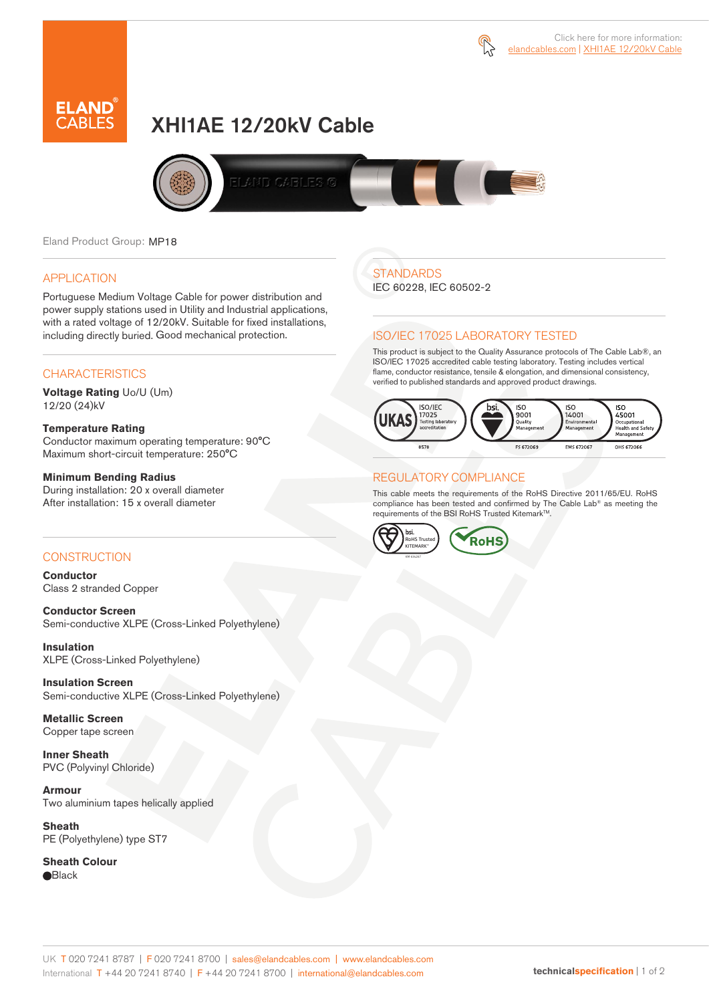



# XHI1AE 12/20kV Cable



Eland Product Group: MP18

### APPLICATION

Portuguese Medium Voltage Cable for power distribution and power supply stations used in Utility and Industrial applications, with a rated voltage of 12/20kV. Suitable for fixed installations, including directly buried. Good mechanical protection.

### **CHARACTERISTICS**

**Voltage Rating** Uo/U (Um) 12/20 (24)kV

#### **Temperature Rating**

Conductor maximum operating temperature: 90°C Maximum short-circuit temperature: 250°C

### **Minimum Bending Radius**

During installation: 20 x overall diameter After installation: 15 x overall diameter

### CONSTRUCTION

**Conductor**  Class 2 stranded Copper

**Conductor Screen** Semi-conductive XLPE (Cross-Linked Polyethylene)

**Insulation** XLPE (Cross-Linked Polyethylene)

**Insulation Screen** Semi-conductive XLPE (Cross-Linked Polyethylene)

**Metallic Screen**  Copper tape screen

**Inner Sheath** PVC (Polyvinyl Chloride)

**Armour** Two aluminium tapes helically applied

**Sheath** PE (Polyethylene) type ST7

**Sheath Colour Black** 

# **STANDARDS**

IEC 60228, IEC 60502-2

### ISO/IEC 17025 LABORATORY TESTED

This product is subject to the Quality Assurance protocols of The Cable Lab®, an ISO/IEC 17025 accredited cable testing laboratory. Testing includes vertical flame, conductor resistance, tensile & elongation, and dimensional consistency, verified to published standards and approved product drawings.



### REGULATORY COMPLIANCE

This cable meets the requirements of the RoHS Directive 2011/65/EU. RoHS compliance has been tested and confirmed by The Cable Lab® as meeting the requirements of the BSI RoHS Trusted KitemarkTM.